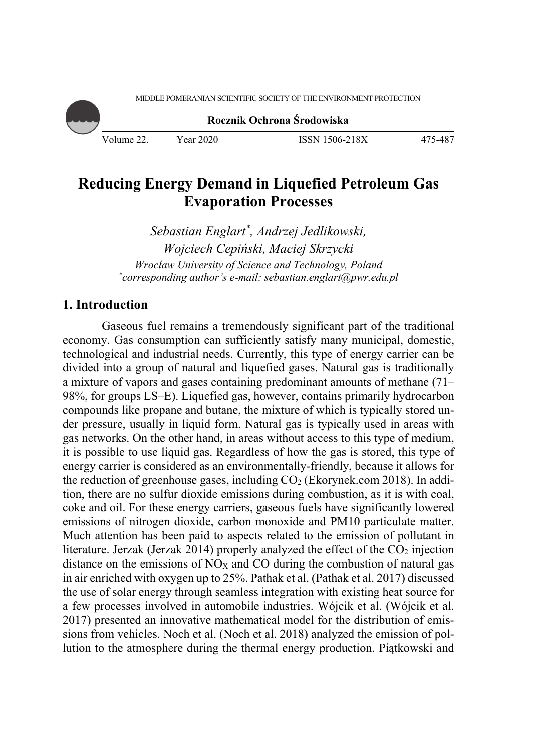MIDDLE POMERANIAN SCIENTIFIC SOCIETY OF THE ENVIRONMENT PROTECTION

**Rocznik Ochrona Środowiska**

Volume 22. Year 2020 ISSN 1506-218X 475-487

# **Reducing Energy Demand in Liquefied Petroleum Gas Evaporation Processes**

*Sebastian Englart\*, Andrzej Jedlikowski, Wojciech Cepiński, Maciej Skrzycki Wrocław University of Science and Technology, Poland \* corresponding author's e-mail: sebastian.englart@pwr.edu.pl* 

### **1. Introduction**

Gaseous fuel remains a tremendously significant part of the traditional economy. Gas consumption can sufficiently satisfy many municipal, domestic, technological and industrial needs. Currently, this type of energy carrier can be divided into a group of natural and liquefied gases. Natural gas is traditionally a mixture of vapors and gases containing predominant amounts of methane (71– 98%, for groups LS–E). Liquefied gas, however, contains primarily hydrocarbon compounds like propane and butane, the mixture of which is typically stored under pressure, usually in liquid form. Natural gas is typically used in areas with gas networks. On the other hand, in areas without access to this type of medium, it is possible to use liquid gas. Regardless of how the gas is stored, this type of energy carrier is considered as an environmentally-friendly, because it allows for the reduction of greenhouse gases, including  $CO<sub>2</sub>$  (Ekorynek.com 2018). In addition, there are no sulfur dioxide emissions during combustion, as it is with coal, coke and oil. For these energy carriers, gaseous fuels have significantly lowered emissions of nitrogen dioxide, carbon monoxide and PM10 particulate matter. Much attention has been paid to aspects related to the emission of pollutant in literature. Jerzak (Jerzak 2014) properly analyzed the effect of the  $CO<sub>2</sub>$  injection distance on the emissions of  $NO<sub>X</sub>$  and CO during the combustion of natural gas in air enriched with oxygen up to 25%. Pathak et al. (Pathak et al. 2017) discussed the use of solar energy through seamless integration with existing heat source for a few processes involved in automobile industries. Wójcik et al. (Wójcik et al. 2017) presented an innovative mathematical model for the distribution of emissions from vehicles. Noch et al. (Noch et al. 2018) analyzed the emission of pollution to the atmosphere during the thermal energy production. Piątkowski and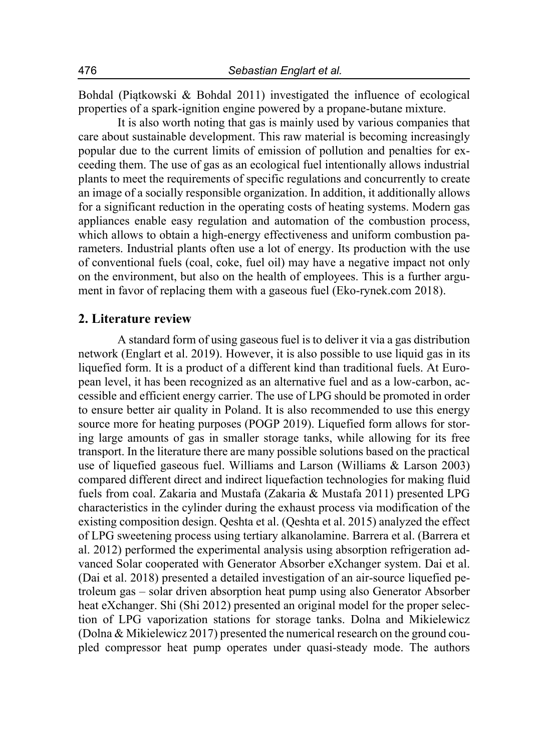Bohdal (Piątkowski & Bohdal 2011) investigated the influence of ecological properties of a spark-ignition engine powered by a propane-butane mixture.

It is also worth noting that gas is mainly used by various companies that care about sustainable development. This raw material is becoming increasingly popular due to the current limits of emission of pollution and penalties for exceeding them. The use of gas as an ecological fuel intentionally allows industrial plants to meet the requirements of specific regulations and concurrently to create an image of a socially responsible organization. In addition, it additionally allows for a significant reduction in the operating costs of heating systems. Modern gas appliances enable easy regulation and automation of the combustion process, which allows to obtain a high-energy effectiveness and uniform combustion parameters. Industrial plants often use a lot of energy. Its production with the use of conventional fuels (coal, coke, fuel oil) may have a negative impact not only on the environment, but also on the health of employees. This is a further argument in favor of replacing them with a gaseous fuel (Eko-rynek.com 2018).

#### **2. Literature review**

A standard form of using gaseous fuel is to deliver it via a gas distribution network (Englart et al. 2019). However, it is also possible to use liquid gas in its liquefied form. It is a product of a different kind than traditional fuels. At European level, it has been recognized as an alternative fuel and as a low-carbon, accessible and efficient energy carrier. The use of LPG should be promoted in order to ensure better air quality in Poland. It is also recommended to use this energy source more for heating purposes (POGP 2019). Liquefied form allows for storing large amounts of gas in smaller storage tanks, while allowing for its free transport. In the literature there are many possible solutions based on the practical use of liquefied gaseous fuel. Williams and Larson (Williams & Larson 2003) compared different direct and indirect liquefaction technologies for making fluid fuels from coal. Zakaria and Mustafa (Zakaria & Mustafa 2011) presented LPG characteristics in the cylinder during the exhaust process via modification of the existing composition design. Qeshta et al. (Qeshta et al. 2015) analyzed the effect of LPG sweetening process using tertiary alkanolamine. Barrera et al. (Barrera et al. 2012) performed the experimental analysis using absorption refrigeration advanced Solar cooperated with Generator Absorber eXchanger system. Dai et al. (Dai et al. 2018) presented a detailed investigation of an air-source liquefied petroleum gas – solar driven absorption heat pump using also Generator Absorber heat eXchanger. Shi (Shi 2012) presented an original model for the proper selection of LPG vaporization stations for storage tanks. Dolna and Mikielewicz (Dolna & Mikielewicz 2017) presented the numerical research on the ground coupled compressor heat pump operates under quasi-steady mode. The authors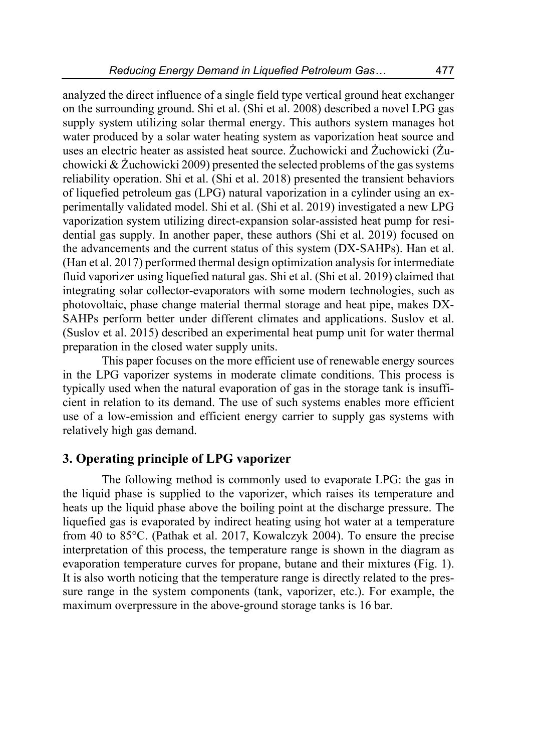analyzed the direct influence of a single field type vertical ground heat exchanger on the surrounding ground. Shi et al. (Shi et al. 2008) described a novel LPG gas supply system utilizing solar thermal energy. This authors system manages hot water produced by a solar water heating system as vaporization heat source and uses an electric heater as assisted heat source. Żuchowicki and Żuchowicki (Żuchowicki & Żuchowicki 2009) presented the selected problems of the gas systems reliability operation. Shi et al. (Shi et al. 2018) presented the transient behaviors of liquefied petroleum gas (LPG) natural vaporization in a cylinder using an experimentally validated model. Shi et al. (Shi et al. 2019) investigated a new LPG vaporization system utilizing direct-expansion solar-assisted heat pump for residential gas supply. In another paper, these authors (Shi et al. 2019) focused on the advancements and the current status of this system (DX-SAHPs). Han et al. (Han et al. 2017) performed thermal design optimization analysis for intermediate fluid vaporizer using liquefied natural gas. Shi et al. (Shi et al. 2019) claimed that integrating solar collector-evaporators with some modern technologies, such as photovoltaic, phase change material thermal storage and heat pipe, makes DX-SAHPs perform better under different climates and applications. Suslov et al. (Suslov et al. 2015) described an experimental heat pump unit for water thermal preparation in the closed water supply units.

This paper focuses on the more efficient use of renewable energy sources in the LPG vaporizer systems in moderate climate conditions. This process is typically used when the natural evaporation of gas in the storage tank is insufficient in relation to its demand. The use of such systems enables more efficient use of a low-emission and efficient energy carrier to supply gas systems with relatively high gas demand.

### **3. Operating principle of LPG vaporizer**

The following method is commonly used to evaporate LPG: the gas in the liquid phase is supplied to the vaporizer, which raises its temperature and heats up the liquid phase above the boiling point at the discharge pressure. The liquefied gas is evaporated by indirect heating using hot water at a temperature from 40 to 85°C. (Pathak et al. 2017, Kowalczyk 2004). To ensure the precise interpretation of this process, the temperature range is shown in the diagram as evaporation temperature curves for propane, butane and their mixtures (Fig. 1). It is also worth noticing that the temperature range is directly related to the pressure range in the system components (tank, vaporizer, etc.). For example, the maximum overpressure in the above-ground storage tanks is 16 bar.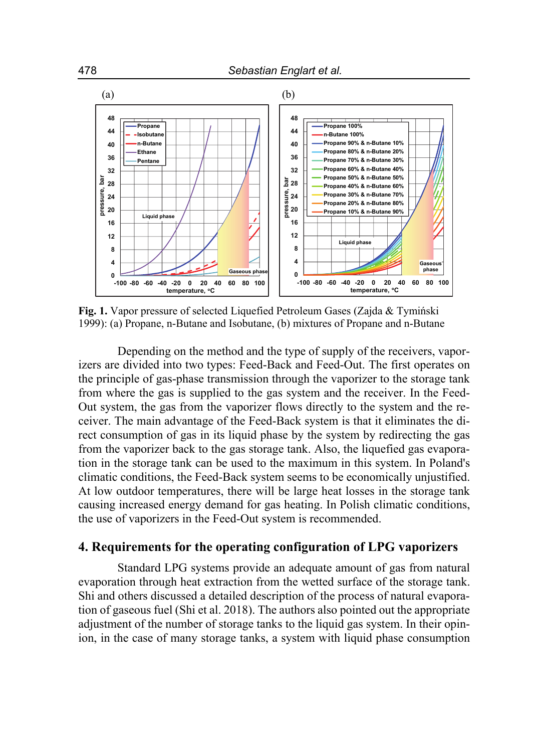

**Fig. 1.** Vapor pressure of selected Liquefied Petroleum Gases (Zajda & Tymiński 1999): (a) Propane, n-Butane and Isobutane, (b) mixtures of Propane and n-Butane

Depending on the method and the type of supply of the receivers, vaporizers are divided into two types: Feed-Back and Feed-Out. The first operates on the principle of gas-phase transmission through the vaporizer to the storage tank from where the gas is supplied to the gas system and the receiver. In the Feed-Out system, the gas from the vaporizer flows directly to the system and the receiver. The main advantage of the Feed-Back system is that it eliminates the direct consumption of gas in its liquid phase by the system by redirecting the gas from the vaporizer back to the gas storage tank. Also, the liquefied gas evaporation in the storage tank can be used to the maximum in this system. In Poland's climatic conditions, the Feed-Back system seems to be economically unjustified. At low outdoor temperatures, there will be large heat losses in the storage tank causing increased energy demand for gas heating. In Polish climatic conditions, the use of vaporizers in the Feed-Out system is recommended.

## **4. Requirements for the operating configuration of LPG vaporizers**

Standard LPG systems provide an adequate amount of gas from natural evaporation through heat extraction from the wetted surface of the storage tank. Shi and others discussed a detailed description of the process of natural evaporation of gaseous fuel (Shi et al. 2018). The authors also pointed out the appropriate adjustment of the number of storage tanks to the liquid gas system. In their opinion, in the case of many storage tanks, a system with liquid phase consumption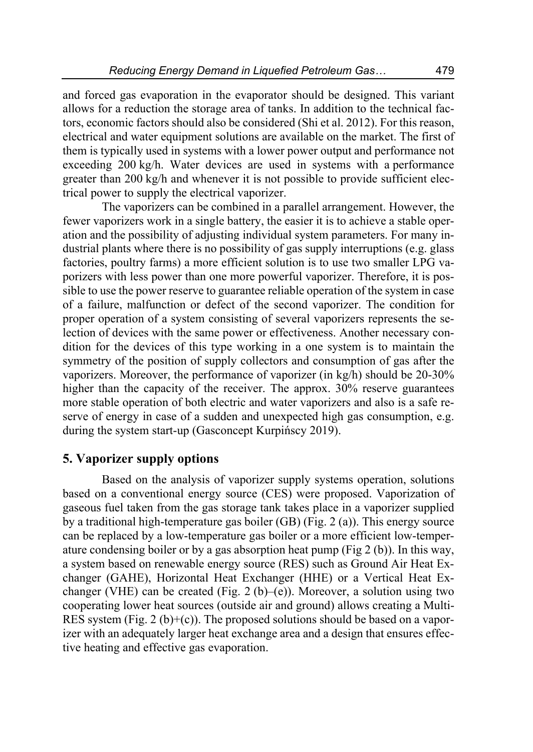and forced gas evaporation in the evaporator should be designed. This variant allows for a reduction the storage area of tanks. In addition to the technical factors, economic factors should also be considered (Shi et al. 2012). For this reason, electrical and water equipment solutions are available on the market. The first of them is typically used in systems with a lower power output and performance not exceeding 200 kg/h. Water devices are used in systems with a performance greater than 200 kg/h and whenever it is not possible to provide sufficient electrical power to supply the electrical vaporizer.

The vaporizers can be combined in a parallel arrangement. However, the fewer vaporizers work in a single battery, the easier it is to achieve a stable operation and the possibility of adjusting individual system parameters. For many industrial plants where there is no possibility of gas supply interruptions (e.g. glass factories, poultry farms) a more efficient solution is to use two smaller LPG vaporizers with less power than one more powerful vaporizer. Therefore, it is possible to use the power reserve to guarantee reliable operation of the system in case of a failure, malfunction or defect of the second vaporizer. The condition for proper operation of a system consisting of several vaporizers represents the selection of devices with the same power or effectiveness. Another necessary condition for the devices of this type working in a one system is to maintain the symmetry of the position of supply collectors and consumption of gas after the vaporizers. Moreover, the performance of vaporizer (in kg/h) should be 20-30% higher than the capacity of the receiver. The approx. 30% reserve guarantees more stable operation of both electric and water vaporizers and also is a safe reserve of energy in case of a sudden and unexpected high gas consumption, e.g. during the system start-up (Gasconcept Kurpińscy 2019).

#### **5. Vaporizer supply options**

Based on the analysis of vaporizer supply systems operation, solutions based on a conventional energy source (CES) were proposed. Vaporization of gaseous fuel taken from the gas storage tank takes place in a vaporizer supplied by a traditional high-temperature gas boiler (GB) (Fig. 2 (a)). This energy source can be replaced by a low-temperature gas boiler or a more efficient low-temperature condensing boiler or by a gas absorption heat pump (Fig 2 (b)). In this way, a system based on renewable energy source (RES) such as Ground Air Heat Exchanger (GAHE), Horizontal Heat Exchanger (HHE) or a Vertical Heat Exchanger (VHE) can be created (Fig. 2 (b)–(e)). Moreover, a solution using two cooperating lower heat sources (outside air and ground) allows creating a Multi-RES system (Fig. 2 (b)+(c)). The proposed solutions should be based on a vaporizer with an adequately larger heat exchange area and a design that ensures effective heating and effective gas evaporation.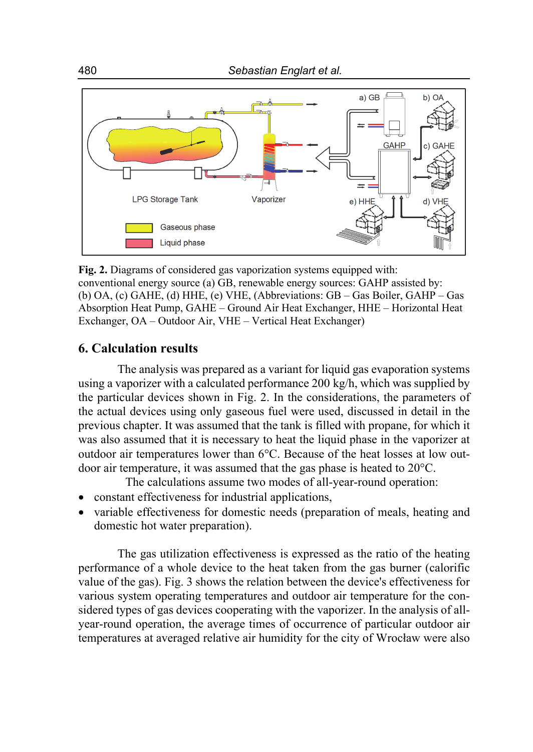

**Fig. 2.** Diagrams of considered gas vaporization systems equipped with: conventional energy source (a) GB, renewable energy sources: GAHP assisted by: (b) OA, (c) GAHE, (d) HHE, (e) VHE, (Abbreviations: GB – Gas Boiler, GAHP – Gas Absorption Heat Pump, GAHE – Ground Air Heat Exchanger, HHE – Horizontal Heat Exchanger, OA – Outdoor Air, VHE – Vertical Heat Exchanger)

# **6. Calculation results**

The analysis was prepared as a variant for liquid gas evaporation systems using a vaporizer with a calculated performance 200 kg/h, which was supplied by the particular devices shown in Fig. 2. In the considerations, the parameters of the actual devices using only gaseous fuel were used, discussed in detail in the previous chapter. It was assumed that the tank is filled with propane, for which it was also assumed that it is necessary to heat the liquid phase in the vaporizer at outdoor air temperatures lower than  $6^{\circ}$ C. Because of the heat losses at low outdoor air temperature, it was assumed that the gas phase is heated to 20°C.

The calculations assume two modes of all-year-round operation:

- constant effectiveness for industrial applications,
- variable effectiveness for domestic needs (preparation of meals, heating and domestic hot water preparation).

The gas utilization effectiveness is expressed as the ratio of the heating performance of a whole device to the heat taken from the gas burner (calorific value of the gas). Fig. 3 shows the relation between the device's effectiveness for various system operating temperatures and outdoor air temperature for the considered types of gas devices cooperating with the vaporizer. In the analysis of allyear-round operation, the average times of occurrence of particular outdoor air temperatures at averaged relative air humidity for the city of Wrocław were also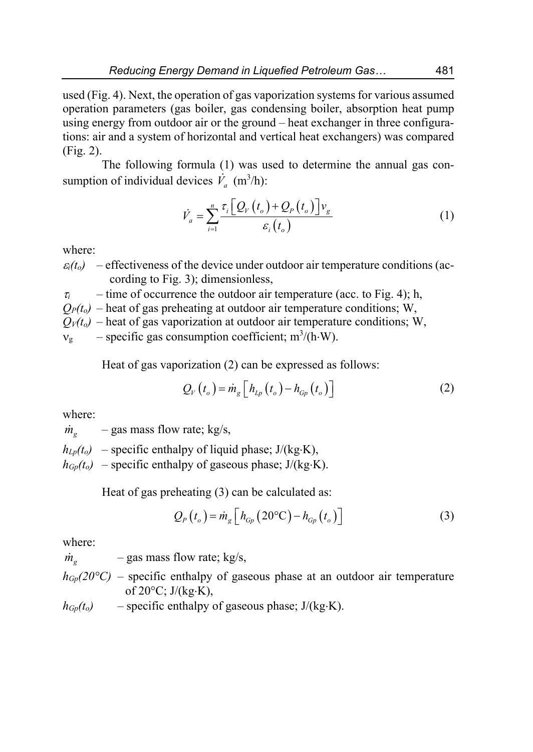used (Fig. 4). Next, the operation of gas vaporization systems for various assumed operation parameters (gas boiler, gas condensing boiler, absorption heat pump using energy from outdoor air or the ground – heat exchanger in three configurations: air and a system of horizontal and vertical heat exchangers) was compared (Fig. 2).

The following formula (1) was used to determine the annual gas consumption of individual devices  $\dot{V}_a$  (m<sup>3</sup>/h):

$$
\dot{V}_a = \sum_{i=1}^n \frac{\tau_i \left[ Q_V(t_o) + Q_P(t_o) \right] v_g}{\varepsilon_i(t_o)}
$$
(1)

where:

 $\varepsilon_l(t_o)$  – effectiveness of the device under outdoor air temperature conditions (according to Fig. 3); dimensionless,

 $\tau_i$  – time of occurrence the outdoor air temperature (acc. to Fig. 4); h,

 $Q_P(t_o)$  – heat of gas preheating at outdoor air temperature conditions; W,

 $Q_V(t_0)$  – heat of gas vaporization at outdoor air temperature conditions; W,

 $v_{\rm g}$  – specific gas consumption coefficient; m<sup>3</sup>/(h·W).

Heat of gas vaporization (2) can be expressed as follows:

$$
Q_V(t_o) = \dot{m}_g \left[ h_{L_p}(t_o) - h_{G_p}(t_o) \right]
$$
 (2)

where:

 $\dot{m}_g$  – gas mass flow rate; kg/s,

 $h_{Lp}(t_o)$  – specific enthalpy of liquid phase;  $J/(kg·K)$ ,

 $h_{Gp}(t_o)$  – specific enthalpy of gaseous phase;  $J/(kg·K)$ .

Heat of gas preheating (3) can be calculated as:

$$
Q_{P}(t_{o}) = \dot{m}_{g} \left[ h_{Gp} (20^{\circ} \text{C}) - h_{Gp} (t_{o}) \right]
$$
 (3)

where:

 $\dot{m}_g$  – gas mass flow rate; kg/s,

- $h_{Gp}(20^{\circ}C)$  specific enthalpy of gaseous phase at an outdoor air temperature of  $20^{\circ}$ C; J/(kg·K),
- $h_{Gp}(t_o)$  specific enthalpy of gaseous phase;  $J/(kg·K)$ .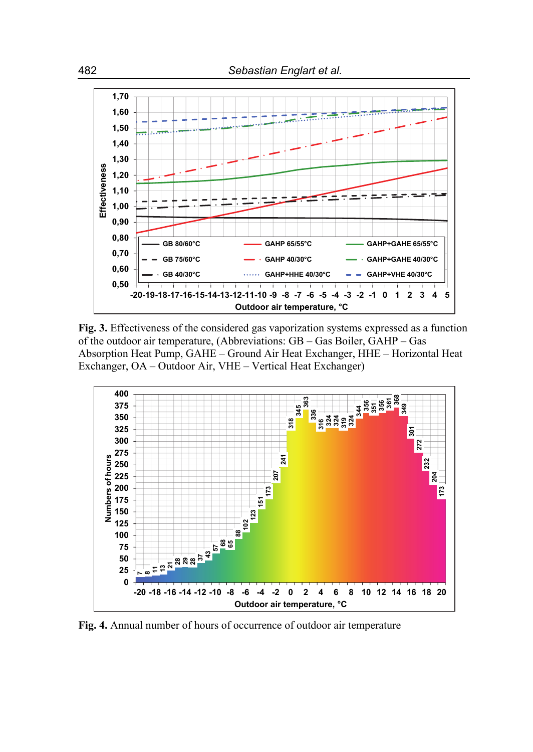

**Fig. 3.** Effectiveness of the considered gas vaporization systems expressed as a function of the outdoor air temperature, (Abbreviations: GB – Gas Boiler, GAHP – Gas Absorption Heat Pump, GAHE – Ground Air Heat Exchanger, HHE – Horizontal Heat Exchanger, OA – Outdoor Air, VHE – Vertical Heat Exchanger)



**Fig. 4.** Annual number of hours of occurrence of outdoor air temperature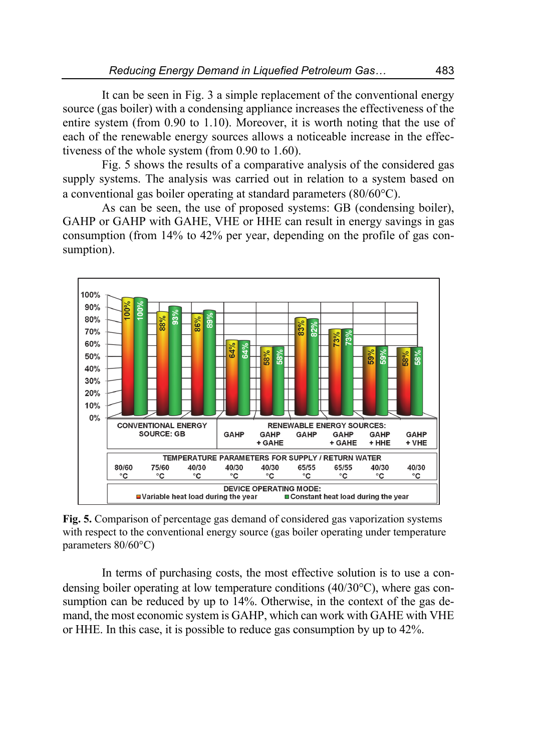It can be seen in Fig. 3 a simple replacement of the conventional energy source (gas boiler) with a condensing appliance increases the effectiveness of the entire system (from 0.90 to 1.10). Moreover, it is worth noting that the use of each of the renewable energy sources allows a noticeable increase in the effectiveness of the whole system (from 0.90 to 1.60).

Fig. 5 shows the results of a comparative analysis of the considered gas supply systems. The analysis was carried out in relation to a system based on a conventional gas boiler operating at standard parameters  $(80/60^{\circ}C)$ .

As can be seen, the use of proposed systems: GB (condensing boiler), GAHP or GAHP with GAHE, VHE or HHE can result in energy savings in gas consumption (from 14% to 42% per year, depending on the profile of gas consumption).



**Fig. 5.** Comparison of percentage gas demand of considered gas vaporization systems with respect to the conventional energy source (gas boiler operating under temperature parameters  $80/60$ °C)

In terms of purchasing costs, the most effective solution is to use a condensing boiler operating at low temperature conditions  $(40/30^{\circ}C)$ , where gas consumption can be reduced by up to 14%. Otherwise, in the context of the gas demand, the most economic system is GAHP, which can work with GAHE with VHE or HHE. In this case, it is possible to reduce gas consumption by up to 42%.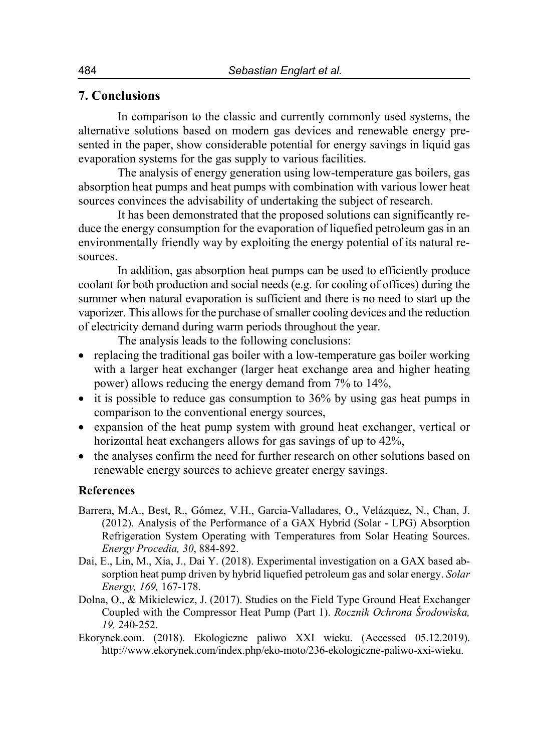## **7. Conclusions**

In comparison to the classic and currently commonly used systems, the alternative solutions based on modern gas devices and renewable energy presented in the paper, show considerable potential for energy savings in liquid gas evaporation systems for the gas supply to various facilities.

The analysis of energy generation using low-temperature gas boilers, gas absorption heat pumps and heat pumps with combination with various lower heat sources convinces the advisability of undertaking the subject of research.

It has been demonstrated that the proposed solutions can significantly reduce the energy consumption for the evaporation of liquefied petroleum gas in an environmentally friendly way by exploiting the energy potential of its natural resources.

In addition, gas absorption heat pumps can be used to efficiently produce coolant for both production and social needs (e.g. for cooling of offices) during the summer when natural evaporation is sufficient and there is no need to start up the vaporizer. This allows for the purchase of smaller cooling devices and the reduction of electricity demand during warm periods throughout the year.

The analysis leads to the following conclusions:

- replacing the traditional gas boiler with a low-temperature gas boiler working with a larger heat exchanger (larger heat exchange area and higher heating power) allows reducing the energy demand from 7% to 14%,
- $\bullet$  it is possible to reduce gas consumption to 36% by using gas heat pumps in comparison to the conventional energy sources,
- expansion of the heat pump system with ground heat exchanger, vertical or horizontal heat exchangers allows for gas savings of up to 42%,
- the analyses confirm the need for further research on other solutions based on renewable energy sources to achieve greater energy savings.

### **References**

- Barrera, M.A., Best, R., Gómez, V.H., Garcia-Valladares, O., Velázquez, N., Chan, J. (2012). Analysis of the Performance of a GAX Hybrid (Solar - LPG) Absorption Refrigeration System Operating with Temperatures from Solar Heating Sources. *Energy Procedia, 30*, 884-892.
- Dai, E., Lin, M., Xia, J., Dai Y. (2018). Experimental investigation on a GAX based absorption heat pump driven by hybrid liquefied petroleum gas and solar energy. *Solar Energy, 169,* 167-178.
- Dolna, O., & Mikielewicz, J. (2017). Studies on the Field Type Ground Heat Exchanger Coupled with the Compressor Heat Pump (Part 1). *Rocznik Ochrona Środowiska, 19,* 240-252.
- Ekorynek.com. (2018). Ekologiczne paliwo XXI wieku. (Accessed 05.12.2019). http://www.ekorynek.com/index.php/eko-moto/236-ekologiczne-paliwo-xxi-wieku.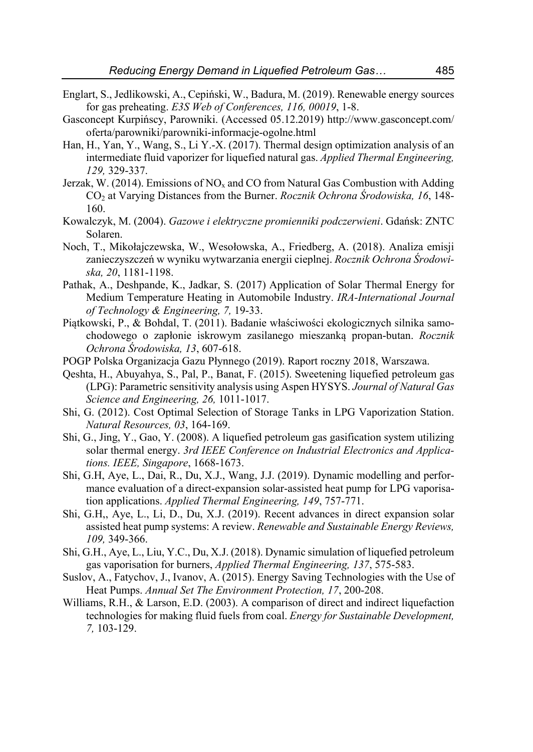- Englart, S., Jedlikowski, A., Cepiński, W., Badura, M. (2019). Renewable energy sources for gas preheating. *E3S Web of Conferences, 116, 00019*, 1-8.
- Gasconcept Kurpińscy, Parowniki. (Accessed 05.12.2019) http://www.gasconcept.com/ oferta/parowniki/parowniki-informacje-ogolne.html
- Han, H., Yan, Y., Wang, S., Li Y.-X. (2017). Thermal design optimization analysis of an intermediate fluid vaporizer for liquefied natural gas. *Applied Thermal Engineering, 129,* 329-337.
- Jerzak, W. (2014). Emissions of  $NO<sub>x</sub>$  and CO from Natural Gas Combustion with Adding CO2 at Varying Distances from the Burner. *Rocznik Ochrona Środowiska, 16*, 148- 160.
- Kowalczyk, M. (2004). *Gazowe i elektryczne promienniki podczerwieni*. Gdańsk: ZNTC Solaren.
- Noch, T., Mikołajczewska, W., Wesołowska, A., Friedberg, A. (2018). Analiza emisji zanieczyszczeń w wyniku wytwarzania energii cieplnej. *Rocznik Ochrona Środowiska, 20*, 1181-1198.
- Pathak, A., Deshpande, K., Jadkar, S. (2017) Application of Solar Thermal Energy for Medium Temperature Heating in Automobile Industry. *IRA-International Journal of Technology & Engineering, 7,* 19-33.
- Piątkowski, P., & Bohdal, T. (2011). Badanie właściwości ekologicznych silnika samochodowego o zapłonie iskrowym zasilanego mieszanką propan-butan. *Rocznik Ochrona Środowiska, 13*, 607-618.
- POGP Polska Organizacja Gazu Płynnego (2019). Raport roczny 2018, Warszawa.
- Qeshta, H., Abuyahya, S., Pal, P., Banat, F. (2015). Sweetening liquefied petroleum gas (LPG): Parametric sensitivity analysis using Aspen HYSYS. *Journal of Natural Gas Science and Engineering, 26,* 1011-1017.
- Shi, G. (2012). Cost Optimal Selection of Storage Tanks in LPG Vaporization Station. *Natural Resources, 03*, 164-169.
- Shi, G., Jing, Y., Gao, Y. (2008). A liquefied petroleum gas gasification system utilizing solar thermal energy. *3rd IEEE Conference on Industrial Electronics and Applications. IEEE, Singapore*, 1668-1673.
- Shi, G.H, Aye, L., Dai, R., Du, X.J., Wang, J.J. (2019). Dynamic modelling and performance evaluation of a direct-expansion solar-assisted heat pump for LPG vaporisation applications. *Applied Thermal Engineering, 149*, 757-771.
- Shi, G.H,, Aye, L., Li, D., Du, X.J. (2019). Recent advances in direct expansion solar assisted heat pump systems: A review. *Renewable and Sustainable Energy Reviews, 109,* 349-366.
- Shi, G.H., Aye, L., Liu, Y.C., Du, X.J. (2018). Dynamic simulation of liquefied petroleum gas vaporisation for burners, *Applied Thermal Engineering, 137*, 575-583.
- Suslov, A., Fatychov, J., Ivanov, A. (2015). Energy Saving Technologies with the Use of Heat Pumps. *Annual Set The Environment Protection, 17*, 200-208.
- Williams, R.H., & Larson, E.D. (2003). A comparison of direct and indirect liquefaction technologies for making fluid fuels from coal. *Energy for Sustainable Development, 7,* 103-129.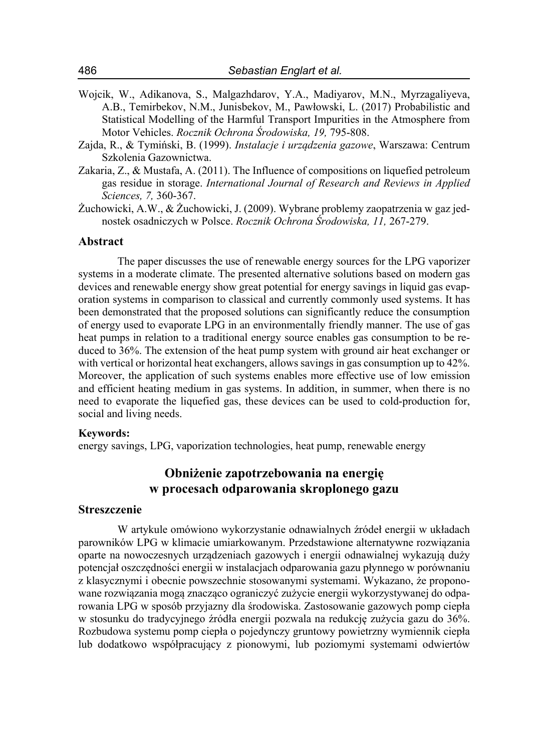- Wojcik, W., Adikanova, S., Malgazhdarov, Y.A., Madiyarov, M.N., Myrzagaliyeva, A.B., Temirbekov, N.M., Junisbekov, M., Pawłowski, L. (2017) Probabilistic and Statistical Modelling of the Harmful Transport Impurities in the Atmosphere from Motor Vehicles. *Rocznik Ochrona Środowiska, 19,* 795-808.
- Zajda, R., & Tymiński, B. (1999). *Instalacje i urządzenia gazowe*, Warszawa: Centrum Szkolenia Gazownictwa.
- Zakaria, Z., & Mustafa, A. (2011). The Influence of compositions on liquefied petroleum gas residue in storage. *International Journal of Research and Reviews in Applied Sciences, 7,* 360-367.
- Żuchowicki, A.W., & Żuchowicki, J. (2009). Wybrane problemy zaopatrzenia w gaz jednostek osadniczych w Polsce. *Rocznik Ochrona Środowiska, 11,* 267-279.

#### **Abstract**

The paper discusses the use of renewable energy sources for the LPG vaporizer systems in a moderate climate. The presented alternative solutions based on modern gas devices and renewable energy show great potential for energy savings in liquid gas evaporation systems in comparison to classical and currently commonly used systems. It has been demonstrated that the proposed solutions can significantly reduce the consumption of energy used to evaporate LPG in an environmentally friendly manner. The use of gas heat pumps in relation to a traditional energy source enables gas consumption to be reduced to 36%. The extension of the heat pump system with ground air heat exchanger or with vertical or horizontal heat exchangers, allows savings in gas consumption up to 42%. Moreover, the application of such systems enables more effective use of low emission and efficient heating medium in gas systems. In addition, in summer, when there is no need to evaporate the liquefied gas, these devices can be used to cold-production for, social and living needs.

#### **Keywords:**

energy savings, LPG, vaporization technologies, heat pump, renewable energy

# **Obniżenie zapotrzebowania na energię w procesach odparowania skroplonego gazu**

#### **Streszczenie**

W artykule omówiono wykorzystanie odnawialnych źródeł energii w układach parowników LPG w klimacie umiarkowanym. Przedstawione alternatywne rozwiązania oparte na nowoczesnych urządzeniach gazowych i energii odnawialnej wykazują duży potencjał oszczędności energii w instalacjach odparowania gazu płynnego w porównaniu z klasycznymi i obecnie powszechnie stosowanymi systemami. Wykazano, że proponowane rozwiązania mogą znacząco ograniczyć zużycie energii wykorzystywanej do odparowania LPG w sposób przyjazny dla środowiska. Zastosowanie gazowych pomp ciepła w stosunku do tradycyjnego źródła energii pozwala na redukcję zużycia gazu do 36%. Rozbudowa systemu pomp ciepła o pojedynczy gruntowy powietrzny wymiennik ciepła lub dodatkowo współpracujący z pionowymi, lub poziomymi systemami odwiertów